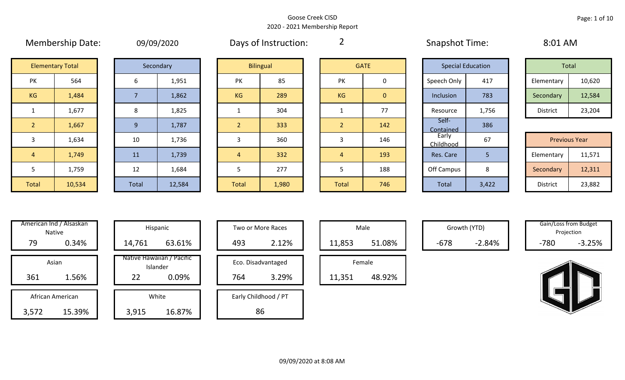|  | <b>09/09/2020</b> |  |
|--|-------------------|--|
|  |                   |  |

Membership Date: 09/09/2020 Snapshot Time: 8:01 AM Days of Instruction:

2

| Total           |        |  |  |  |  |  |
|-----------------|--------|--|--|--|--|--|
| Elementary      | 10,620 |  |  |  |  |  |
| Secondary       | 12,584 |  |  |  |  |  |
| <b>District</b> | 23,204 |  |  |  |  |  |

| <b>Previous Year</b> |        |  |  |  |  |  |  |
|----------------------|--------|--|--|--|--|--|--|
| Elementary           | 11,571 |  |  |  |  |  |  |
| Secondary            | 12,311 |  |  |  |  |  |  |
| <b>District</b>      | 23,882 |  |  |  |  |  |  |

|                | <b>Elementary Total</b> | Secondary    |   |
|----------------|-------------------------|--------------|---|
| PK             | 564                     | 6            |   |
| <b>KG</b>      | 1,484                   | 7            |   |
| 1              | 1,677                   | 8            |   |
| $\overline{2}$ | 1,667                   | 9            |   |
| 3              | 1,634                   | 10           |   |
| 4              | 1,749                   | 11           |   |
| 5              | 1,759                   | 12           |   |
| <b>Total</b>   | 10,534                  | <b>Total</b> | 1 |

|       | Secondary |
|-------|-----------|
| 6     | 1,951     |
| 7     | 1,862     |
| 8     | 1,825     |
| 9     | 1,787     |
| 10    | 1,736     |
| 11    | 1,739     |
| 12    | 1,684     |
| Total | 12,584    |

|                | <b>Elementary Total</b> |       | Secondary |                | <b>Bilingual</b> |  | <b>GATE</b>   |                | <b>Special Education</b> |       | Total                |        |
|----------------|-------------------------|-------|-----------|----------------|------------------|--|---------------|----------------|--------------------------|-------|----------------------|--------|
| <b>PK</b>      | 564                     | 6     | 1,951     | <b>PK</b>      | 85               |  | <b>PK</b>     | 0              | Speech Only              | 417   | Elementary           | 10,620 |
| KG             | 1,484                   |       | 1,862     | KG             | 289              |  | KG            | $\overline{0}$ | Inclusion                | 783   | Secondary            | 12,584 |
| 1              | 1,677                   | 8     | 1,825     |                | 304              |  |               | 77             | Resource                 | 1,756 | District             | 23,204 |
| $\sqrt{2}$     | 1,667                   | 9     | 1,787     | $\overline{2}$ | 333              |  | $\mathcal{P}$ | 142            | Self-<br>Contained       | 386   |                      |        |
| $\mathbf{3}$   | 1,634                   | 10    | 1,736     | 3              | 360              |  | 3             | 146            | Early<br>Childhood       | 67    | <b>Previous Year</b> |        |
| $\overline{4}$ | 1,749                   | 11    | 1,739     | $\overline{4}$ | 332              |  | 4             | 193            | Res. Care                | 5     | Elementary           | 11,571 |
| 5              | 1,759                   | 12    | 1,684     |                | 277              |  |               | 188            | Off Campus               | 8     | Secondary            | 12,311 |
| Total          | 10,534                  | Total | 12,584    | Total          | 1,980            |  | Total         | 746            | Total                    | 3,422 | District             | 23,882 |

|                | GAIE |
|----------------|------|
| PK             | 0    |
| KG             | 0    |
| $\mathbf 1$    | 77   |
| $\overline{2}$ | 142  |
| 3              | 146  |
| 4              | 193  |
| 5              | 188  |
| <b>Total</b>   | 746  |

| Inclusion          | 783   | Secondary       | 12,584               |
|--------------------|-------|-----------------|----------------------|
| Resource           | 1,756 | <b>District</b> | 23,204               |
| Self-<br>Contained | 386   |                 |                      |
| Early<br>Childhood | 67    |                 | <b>Previous Year</b> |
| Res. Care          | 5     | Elementary      | 11,571               |
| Off Campus         | 8     | Secondary       | 12,311               |
| <b>Total</b>       | 3,422 | <b>District</b> | 23,882               |
|                    |       |                 |                      |

3,572 15.39% American Ind / Alsaskan Native Asian African American

|      | merican ind / Alsaskan<br>Native |        | Hispanic                              |     | Two or More Races    |        | Male   |        | Growth (YTD) |        | Gain/Loss from Budget<br>Projection |
|------|----------------------------------|--------|---------------------------------------|-----|----------------------|--------|--------|--------|--------------|--------|-------------------------------------|
| 79   | 0.34%                            | 14,761 | 63.61%                                | 493 | 2.12%                | 11,853 | 51.08% | $-678$ | $-2.84%$     | $-780$ | $-3.25%$                            |
|      | Asian                            |        | Native Hawaiian / Pacific<br>Islander |     | Eco. Disadvantaged   |        | Female |        |              |        |                                     |
| 361  | 1.56%                            | 22     | 0.09%                                 | 764 | 3.29%                | 11,351 | 48.92% |        |              |        |                                     |
|      | African American                 |        | White                                 |     | Early Childhood / PT |        |        |        |              |        |                                     |
| ,572 | 15.39%                           | 3,915  | 16.87%                                |     | 86                   |        |        |        |              |        |                                     |

| Hispanic                       | Two or More Races |                      |  |        | Male   |
|--------------------------------|-------------------|----------------------|--|--------|--------|
| 63.61%                         | 493               | 2.12%                |  | 11,853 |        |
| lawaiian / Pacific<br>Islander |                   | Eco. Disadvantaged   |  |        | Female |
| 0.09%                          | 764               | 3.29%                |  | 11,351 |        |
| White                          |                   | Early Childhood / PT |  |        |        |
| 16.87%                         |                   | 86                   |  |        |        |

| Male   |        |  |  |  |  |  |
|--------|--------|--|--|--|--|--|
| 11,853 | 51.08% |  |  |  |  |  |
| Female |        |  |  |  |  |  |
|        |        |  |  |  |  |  |

| Gain/Loss from Budget |            |  |  |  |  |  |
|-----------------------|------------|--|--|--|--|--|
|                       | Projection |  |  |  |  |  |
| -780                  | $-3.25%$   |  |  |  |  |  |

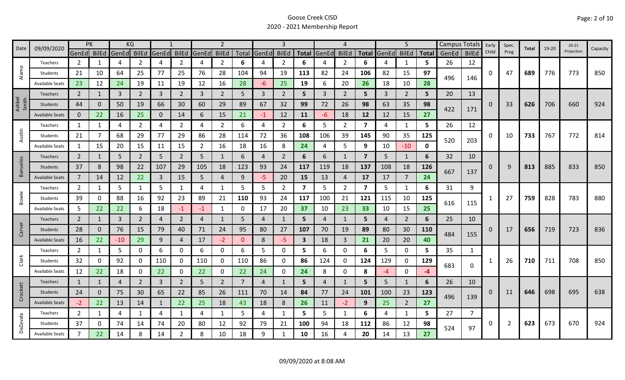|                 | 09/09/2020             | <b>PK</b>      |              |             | KG             |                |                |                | 2              |                |                   |                |                         |              | 4              |                         |                | 5              |              |       | Campus Totals | Early | Spec.          | Total | $19 - 20$ | $20 - 21$  | Capacity |
|-----------------|------------------------|----------------|--------------|-------------|----------------|----------------|----------------|----------------|----------------|----------------|-------------------|----------------|-------------------------|--------------|----------------|-------------------------|----------------|----------------|--------------|-------|---------------|-------|----------------|-------|-----------|------------|----------|
| Date            |                        | GenEd BilEd    |              | GenEd BilEd |                | GenEd          | <b>BilEd</b>   | GenEd          | <b>BilEd</b>   |                | Total GenEd BilEd |                |                         | Total GenEd  | <b>BilEd</b>   | <b>Total</b>            | GenEd BilEd    |                | <b>Total</b> | GenEd | <b>BilEd</b>  | Child | Prog           |       |           | Projection |          |
|                 | Teachers               | 2              | 1            | 4           | 2              | 4              | $\overline{2}$ | 4              | $\overline{2}$ | 6              | 4                 | 2              | 6                       |              | 2              | 6                       |                | 1              | 5            | 26    | 12            |       |                |       |           |            |          |
| Alamo           | Students               | 21             | 10           | 64          | 25             | 77             | 25             | 76             | 28             | 104            | 94                | 19             | 113                     | 82           | 24             | 106                     | 82             | 15             | 97           | 496   | 146           | 0     | 47             | 689   | 776       | 773        | 850      |
|                 | <b>Available Seats</b> | 23             | 12           | 24          | 19             | 11             | 19             | 12             | 16             | 28             | -6                | 25             | 19                      | 6            | 20             | 26                      | 18             | 10             | 28           |       |               |       |                |       |           |            |          |
|                 | Teachers               | $\overline{2}$ | 1            | 3           | $\overline{2}$ | 3              | $\overline{2}$ | 3              | $\overline{2}$ | 5              | 3                 | $\overline{2}$ | 5                       | $\mathbf{3}$ | $\overline{2}$ | 5                       | 3              | $\overline{2}$ | 5            | 20    | 13            |       |                |       |           |            |          |
| Ashbel<br>Smith | Students               | 44             | 0            | 50          | 19             | 66             | 30             | 60             | 29             | 89             | 67                | 32             | 99                      | 72           | 26             | 98                      | 63             | 35             | 98           |       |               | 0     | 33             | 626   | 706       | 660        | 924      |
|                 | <b>Available Seats</b> | $\mathbf{0}$   | 22           | 16          | 25             | 0              | 14             | 6              | 15             | 21             | $-1$              | 12             | 11                      | -6           | 18             | 12                      | 12             | 15             | 27           | 422   | 171           |       |                |       |           |            |          |
|                 | Teachers               | 1              |              | 4           | 2              | 4              | 2              | 4              | 2              | 6              | 4                 | $\overline{2}$ | 6                       | 5            | 2              | 7                       | 4              | 1              | 5            | 26    | 12            |       |                |       |           |            |          |
| Austin          | Students               | 21             | 7            | 68          | 29             | 77             | 29             | 86             | 28             | 114            | 72                | 36             | 108                     | 106          | 39             | 145                     | 90             | 35             | 125          | 520   | 203           | 0     | 10             | 733   | 767       | 772        | 814      |
|                 | <b>Available Seats</b> | 1              | 15           | 20          | 15             | 11             | 15             | 2              | 16             | 18             | 16                | 8              | 24                      | 4            | 5              | 9                       | 10             | $-10$          | 0            |       |               |       |                |       |           |            |          |
|                 | Teachers               | $\overline{2}$ | 1            | 5           | $\overline{2}$ | 5              | $\overline{2}$ | 5              | 1              | 6              | 4                 | $\overline{2}$ | 6                       | 6            | 1              | $\overline{7}$          | 5              | 1              | 6            | 32    | 10            |       |                |       |           |            |          |
| <b>Banuelos</b> | Students               | 37             | 8            | 98          | 22             | 107            | 29             | 105            | 18             | 123            | 93                | 24             | 117                     | 119          | 18             | 137                     | 108            | 18             | 126          |       |               | 0     | 9              | 813   | 885       | 833        | 850      |
|                 | <b>Available Seats</b> | $\overline{7}$ | 14           | 12          | 22             | 3              | 15             | 5              | $\overline{4}$ | 9              | $-5$              | 20             | 15                      | 13           | 4              | 17                      | 17             | 7              | 24           | 667   | 137           |       |                |       |           |            |          |
|                 | Teachers               | $\overline{2}$ | $\mathbf{1}$ | 5           | 1              | 5              | 1              | 4              | 1              | 5              | 5                 | $\overline{2}$ | $\overline{\mathbf{z}}$ | 5            | 2              | $\overline{\mathbf{z}}$ | 5              | $\mathbf{1}$   | 6            | 31    | 9             |       |                |       |           |            |          |
| Bowie           | Students               | 39             | 0            | 88          | 16             | 92             | 23             | 89             | 21             | 110            | 93                | 24             | 117                     | 100          | 21             | 121                     | 115            | 10             | 125          |       |               |       | 27             | 759   | 828       | 783        | 880      |
|                 | <b>Available Seats</b> | 5              | 22           | 22          | 6              | 18             | $-1$           | -1             | $\mathbf{1}$   | 0              | 17                | 20             | 37                      | 10           | 23             | 33                      | 10             | 15             | 25           | 616   | 115           |       |                |       |           |            |          |
|                 | <b>Teachers</b>        | $\overline{2}$ | $\mathbf{1}$ | 3           | $\overline{2}$ | $\overline{a}$ | $\overline{2}$ | $\overline{a}$ | 1              | 5              | 4                 |                | 5                       | 4            | $\mathbf{1}$   | 5                       | $\overline{a}$ | $\overline{2}$ | 6            | 25    | 10            |       |                |       |           |            |          |
| Carver          | Students               | 28             | 0            | 76          | 15             | 79             | 40             | 71             | 24             | 95             | 80                | 27             | 107                     | 70           | 19             | 89                      | 80             | 30             | <b>110</b>   |       |               | 0     | 17             | 656   | 719       | 723        | 836      |
|                 | <b>Available Seats</b> | 16             | 22           | $-10$       | 29             | 9              | 4              | 17             | $-2$           | $\mathbf{0}$   | 8                 | $-5$           | $\overline{\mathbf{3}}$ | 18           | $\overline{3}$ | 21                      | 20             | 20             | 40           | 484   | 155           |       |                |       |           |            |          |
|                 | Teachers               | $\overline{2}$ | 1            | 5           | 0              | 6              | $\mathbf{0}$   | 6              | 0              | 6              | 5                 | 0              | 5                       | 6            | 0              | 6                       | 5              | $\Omega$       | 5            | 35    | $\mathbf{1}$  |       |                |       |           |            |          |
| Clark           | Students               | 32             | 0            | 92          | 0              | 110            | $\mathbf{0}$   | 110            | 0              | 110            | 86                | 0              | 86                      | 124          | 0              | 124                     | 129            | 0              | 129          |       |               |       | 26             | 710   | 711       | 708        | 850      |
|                 | <b>Available Seats</b> | 12             | 22           | 18          | 0              | 22             | 0              | 22             | 0              | 22             | 24                | 0              | 24                      | 8            | $\mathbf{0}$   | 8                       | $-4$           | $\mathbf 0$    | $-4$         | 683   | 0             |       |                |       |           |            |          |
|                 | Teachers               | 1              | 1            | 4           | $\overline{2}$ | 3              | $\overline{2}$ | 5              | $\overline{2}$ | $\overline{7}$ | 4                 |                | 5                       | 4            | 1              | 5                       | 5              | 1              | 6            | 26    | 10            |       |                |       |           |            |          |
| Crockett        | Students               | 24             | $\Omega$     | 75          | 30             | 65             | 22             | 85             | 26             | 111            | 70                | 14             | 84                      | 77           | 24             | 101                     | 100            | 23             | 123          |       |               | O     | 11             | 646   | 698       | 695        | 638      |
|                 | <b>Available Seats</b> | $-2$           | 22           | 13          | 14             | $\mathbf{1}$   | 22             | 25             | 18             | 43             | 18                | 8              | 26                      | 11           | $-2$           | 9                       | 25             | $\overline{2}$ | 27           | 496   | 139           |       |                |       |           |            |          |
|                 | Teachers               | $\overline{2}$ | 1            | 4           | 1              | 4              | $\mathbf{1}$   | 4              | 1              | 5              | 4                 | $\mathbf{1}$   | 5                       | 5            | $\mathbf{1}$   | 6                       | 4              | $\mathbf{1}$   | 5.           | 27    |               |       |                |       |           |            |          |
|                 | Students               | 37             | 0            | 74          | 14             | 74             | 20             | 80             | 12             | 92             | 79                | 21             | 100                     | 94           | 18             | 112                     | 86             | 12             | 98           |       |               | 0     | $\overline{2}$ | 623   | 673       | 670        | 924      |
| <b>DeZavala</b> | <b>Available Seats</b> | $\overline{7}$ | 22           | 14          | 8              | 14             | $\overline{2}$ | 8              | 10             | 18             | 9                 |                | 10                      | 16           | 4              | 20                      | 14             | 13             | 27           | 524   | 97            |       |                |       |           |            |          |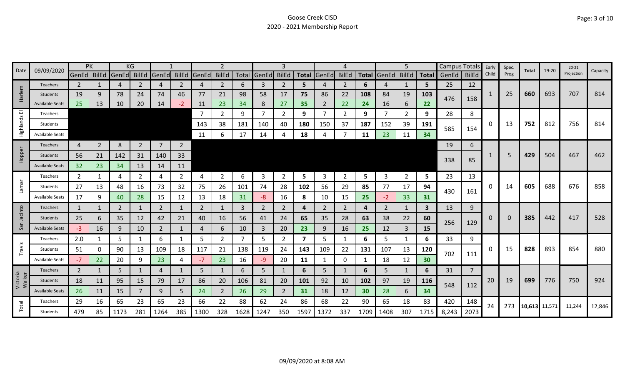|                    |                        | PK             |                |       | ΚG             |                |                |                |                |      |                |                |                         |                |              |      |                   | 5              |      | Campus Totals |                | Early | Spec. |               | 19-20 | $20 - 21$  |          |
|--------------------|------------------------|----------------|----------------|-------|----------------|----------------|----------------|----------------|----------------|------|----------------|----------------|-------------------------|----------------|--------------|------|-------------------|----------------|------|---------------|----------------|-------|-------|---------------|-------|------------|----------|
| Date               | 09/09/2020             | GenEd BilEd    |                | GenEd | BilEd          | GenEd          | <b>BilEd</b>   | GenEd BilEd    |                |      | Total GenEd    | <b>BilEd</b>   | <b>Total</b>            | GenEd          | <b>BilEd</b> |      | Total GenEd BilEd |                |      | Total GenEd   | <b>BilEd</b>   | Child | Prog  | Total         |       | Projection | Capacity |
|                    | <b>Teachers</b>        | 2              |                | 4     | $\overline{2}$ | 4              | 2              | 4              | $\overline{2}$ | 6    | 3              | 2              | 5                       |                | 2            | 6    | 4                 | 1              | 5    | 25            | 12             |       |       |               |       |            |          |
| Harlem             | Students               | 19             | 9              | 78    | 24             | 74             | 46             | 77             | 21             | 98   | 58             | 17             | 75                      | 86             | 22           | 108  | 84                | 19             | 103  | 476           | 158            | 1     | 25    | 660           | 693   | 707        | 814      |
|                    | <b>Available Seats</b> | 25             | 13             | 10    | 20             | 14             | $-2$           | 11             | 23             | 34   | 8              | 27             | 35                      | $\overline{2}$ | 22           | 24   | 16                | 6              | 22   |               |                |       |       |               |       |            |          |
| 画                  | Teachers               |                |                |       |                |                |                |                | $\overline{2}$ | 9    | $\overline{7}$ | $\overline{2}$ | 9                       |                | 2            | 9    | 7                 | $\overline{2}$ | 9    | 28            | 8              |       |       |               |       |            |          |
| Highlands          | Students               |                |                |       |                |                |                | 143            | 38             | 181  | 140            | 40             | 180                     | 150            | 37           | 187  | 152               | 39             | 191  | 585           | 154            | 0     | 13    | 752           | 812   | 756        | 814      |
|                    | <b>Available Seats</b> |                |                |       |                |                |                | 11             | 6              | 17   | 14             |                | 18                      |                |              | 11   | 23                | 11             | 34   |               |                |       |       |               |       |            |          |
|                    | <b>Teachers</b>        | 4              | $\overline{2}$ | 8     | $\overline{2}$ | $\overline{7}$ | $\overline{2}$ |                |                |      |                |                |                         |                |              |      |                   |                |      | 19            | 6              |       |       |               |       |            |          |
| Hopper             | Students               | 56             | 21             | 142   | 31             | 140            | 33             |                |                |      |                |                |                         |                |              |      |                   |                |      |               |                |       | 5     | 429           | 504   | 467        | 462      |
|                    | <b>Available Seats</b> | 32             | 23             | 34    | 13             | 14             | 11             |                |                |      |                |                |                         |                |              |      |                   |                |      | 338           | 85             |       |       |               |       |            |          |
|                    | Teachers               | $\mathbf{2}$   | 1              | 4     | 2              | 4              | $\mathbf{2}$   | 4              | 2              | 6    | 3              | $\overline{2}$ | 5                       | 3              | 2            | 5    | 3                 | $\overline{2}$ | 5    | 23            | 13             |       |       |               |       |            |          |
| Lamar              | Students               | 27             | 13             | 48    | 16             | 73             | 32             | 75             | 26             | 101  | 74             | 28             | 102                     | 56             | 29           | 85   | 77                | 17             | 94   |               |                | 0     | 14    | 605           | 688   | 676        | 858      |
|                    | <b>Available Seats</b> | 17             | 9              | 40    | 28             | 15             | 12             | 13             | 18             | 31   | -8             | 16             | 8                       | 10             | 15           | 25   | $-2$              | 33             | 31   | 430           | 161            |       |       |               |       |            |          |
|                    | <b>Teachers</b>        | $\mathbf{1}$   | 1              | 2     |                | $\overline{2}$ | 1              | $\overline{2}$ | $\mathbf{1}$   | 3    | 2              | $\overline{2}$ | 4                       | $\overline{2}$ | 2            | 4    | $\overline{2}$    | 1              | 3    | 13            | 9              |       |       |               |       |            |          |
| Jacinto            | Students               | 25             | 6              | 35    | 12             | 42             | 21             | 40             | 16             | 56   | 41             | 24             | 65                      | 35             | 28           | 63   | 38                | 22             | 60   |               |                | 0     | 0     | 385           | 442   | 417        | 528      |
| San                | <b>Available Seats</b> | -3             | 16             | 9     | 10             | $\overline{2}$ | $\mathbf{1}$   | 4              | 6              | 10   | $\overline{3}$ | 20             | 23                      | 9              | 16           | 25   | 12                | $\mathbf{3}$   | 15   | 256           | 129            |       |       |               |       |            |          |
|                    | Teachers               | 2.0            |                | 5     |                | 6              | 1              | 5              | $\overline{2}$ |      | 5              | 2              | $\overline{\mathbf{z}}$ | 5              |              | 6    | 5                 | 1              | 6    | 33            | 9              |       |       |               |       |            |          |
| Travis             | Students               | 51             | 0              | 90    | 13             | 109            | 18             | 117            | 21             | 138  | 119            | 24             | 143                     | 109            | 22           | 131  | 107               | 13             | 120  |               |                | 0     | 15    | 828           | 893   | 854        | 880      |
|                    | <b>Available Seats</b> | $-7$           | 22             | 20    | 9              | 23             | 4              | $-7$           | 23             | 16   | $-9$           | 20             | 11                      |                | 0            |      | 18                | 12             | 30   | 702           | 111            |       |       |               |       |            |          |
|                    | Teachers               | $\overline{2}$ |                | 5     |                | 4              |                | 5              |                | 6    | 5              |                | 6                       | 5              |              | 6    | 5                 |                | 6    | 31            | $\overline{7}$ |       |       |               |       |            |          |
| Victoria<br>Walker | Students               | 18             | 11             | 95    | 15             | 79             | 17             | 86             | 20             | 106  | 81             | 20             | 101                     | 92             | 10           | 102  | 97                | 19             | 116  |               |                | 20    | 19    | 699           | 776   | 750        | 924      |
|                    | <b>Available Seats</b> | 26             | 11             | 15    | 7              | 9              | 5              | 24             | $\overline{2}$ | 26   | 29             | $\overline{2}$ | 31                      | 18             | 12           | 30   | 28                | 6              | 34   | 548           | 112            |       |       |               |       |            |          |
|                    | Teachers               | 29             | 16             | 65    | 23             | 65             | 23             | 66             | 22             | 88   | 62             | 24             | 86                      | 68             | 22           | 90   | 65                | 18             | 83   | 420           | 148            | 24    | 273   |               |       |            |          |
| Total              | Students               | 479            | 85             | 1173  | 281            | 1264           | 385            | 1300           | 328            | 1628 | 1247           | 350            | 1597                    | 1372           | 337          | 1709 | 1408              | 307            | 1715 | 8,243         | 2073           |       |       | 10,613 11,571 |       | 11,244     | 12,846   |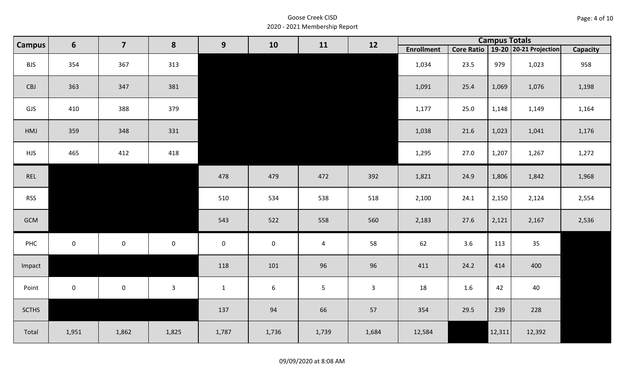| Page: 4 of 10 |  |  |  |
|---------------|--|--|--|
|---------------|--|--|--|

| <b>Campus</b> | $6\phantom{1}$      | $\overline{\mathbf{z}}$ | 8            |              | 9<br>10<br>11   | 12             |              |                   | <b>Campus Totals</b> |        |                                       |                 |
|---------------|---------------------|-------------------------|--------------|--------------|-----------------|----------------|--------------|-------------------|----------------------|--------|---------------------------------------|-----------------|
|               |                     |                         |              |              |                 |                |              | <b>Enrollment</b> |                      |        | Core Ratio   19-20   20-21 Projection | <b>Capacity</b> |
| <b>BJS</b>    | 354                 | 367                     | 313          |              |                 |                |              | 1,034             | 23.5                 | 979    | 1,023                                 | 958             |
| CBJ           | 363                 | 347                     | 381          |              |                 |                |              | 1,091             | 25.4                 | 1,069  | 1,076                                 | 1,198           |
| GJS           | 410                 | 388                     | 379          |              |                 |                |              | 1,177             | 25.0                 | 1,148  | 1,149                                 | 1,164           |
| HMJ           | 359                 | 348                     | 331          |              |                 |                |              | 1,038             | 21.6                 | 1,023  | 1,041                                 | 1,176           |
| <b>HJS</b>    | 465                 | 412                     | 418          |              |                 |                |              | 1,295             | 27.0                 | 1,207  | 1,267                                 | 1,272           |
| REL           |                     |                         |              | 478          | 479             | 472            | 392          | 1,821             | 24.9                 | 1,806  | 1,842                                 | 1,968           |
| <b>RSS</b>    |                     |                         |              | 510          | 534             | 538            | 518          | 2,100             | 24.1                 | 2,150  | 2,124                                 | 2,554           |
| GCM           |                     |                         |              | 543          | 522             | 558            | 560          | 2,183             | 27.6                 | 2,121  | 2,167                                 | 2,536           |
| PHC           | $\mathbf 0$         | $\mathsf{O}\xspace$     | $\mathsf 0$  | $\mathbf 0$  | $\mathbf 0$     | $\overline{4}$ | 58           | 62                | 3.6                  | 113    | 35                                    |                 |
| Impact        |                     |                         |              | 118          | 101             | 96             | 96           | 411               | 24.2                 | 414    | 400                                   |                 |
| Point         | $\mathsf{O}\xspace$ | $\mathsf 0$             | $\mathbf{3}$ | $\mathbf{1}$ | $6\phantom{.}6$ | $\overline{5}$ | $\mathbf{3}$ | 18                | 1.6                  | 42     | 40                                    |                 |
| <b>SCTHS</b>  |                     |                         |              | 137          | 94              | 66             | 57           | 354               | 29.5                 | 239    | 228                                   |                 |
| Total         | 1,951               | 1,862                   | 1,825        | 1,787        | 1,736           | 1,739          | 1,684        | 12,584            |                      | 12,311 | 12,392                                |                 |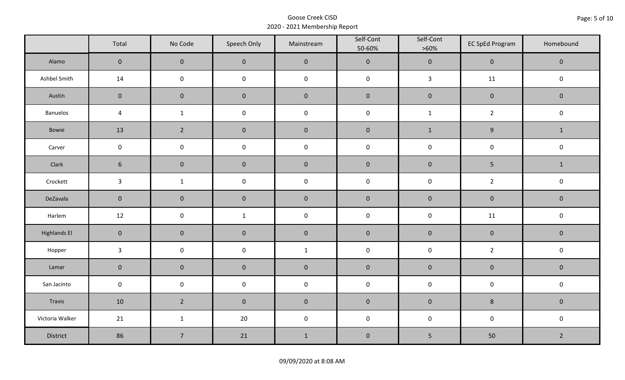|                     | Total               | No Code             | Speech Only         | Mainstream   | Self-Cont<br>50-60% | Self-Cont<br>$>60\%$ | <b>EC SpEd Program</b> | Homebound      |
|---------------------|---------------------|---------------------|---------------------|--------------|---------------------|----------------------|------------------------|----------------|
| Alamo               | $\mathsf{O}\xspace$ | $\mathbf 0$         | $\mathbf 0$         | $\pmb{0}$    | $\pmb{0}$           | $\pmb{0}$            | $\pmb{0}$              | $\mathbf 0$    |
| Ashbel Smith        | 14                  | $\mathsf 0$         | $\mathsf 0$         | $\pmb{0}$    | $\mathsf 0$         | $\mathbf{3}$         | 11                     | $\mathsf 0$    |
| Austin              | $\mathbf 0$         | $\mathbf 0$         | $\pmb{0}$           | $\pmb{0}$    | $\pmb{0}$           | $\pmb{0}$            | $\pmb{0}$              | $\pmb{0}$      |
| <b>Banuelos</b>     | $\overline{a}$      | $\mathbf{1}$        | $\pmb{0}$           | $\pmb{0}$    | $\pmb{0}$           | $\mathbf{1}$         | $\overline{2}$         | $\pmb{0}$      |
| Bowie               | 13                  | $\overline{2}$      | $\mathbf 0$         | $\pmb{0}$    | $\pmb{0}$           | $\mathbf{1}$         | $\boldsymbol{9}$       | $\mathbf{1}$   |
| Carver              | $\mathbf 0$         | $\pmb{0}$           | $\pmb{0}$           | $\pmb{0}$    | $\pmb{0}$           | $\pmb{0}$            | $\pmb{0}$              | $\pmb{0}$      |
| Clark               | $6\phantom{1}$      | $\mathbf 0$         | $\mathbf 0$         | $\pmb{0}$    | $\pmb{0}$           | $\pmb{0}$            | 5                      | $\mathbf{1}$   |
| Crockett            | $\mathbf{3}$        | $\mathbf{1}$        | $\pmb{0}$           | $\pmb{0}$    | $\pmb{0}$           | $\pmb{0}$            | $\overline{2}$         | $\pmb{0}$      |
| DeZavala            | $\mathbf 0$         | $\mathbf 0$         | $\mathbf 0$         | $\pmb{0}$    | $\pmb{0}$           | $\pmb{0}$            | $\pmb{0}$              | $\pmb{0}$      |
| Harlem              | 12                  | $\mathsf 0$         | $\mathbf{1}$        | $\pmb{0}$    | $\pmb{0}$           | $\pmb{0}$            | 11                     | $\pmb{0}$      |
| <b>Highlands El</b> | $\mathbf 0$         | $\overline{0}$      | $\mathbf 0$         | $\pmb{0}$    | $\pmb{0}$           | $\pmb{0}$            | $\pmb{0}$              | $\mathbf 0$    |
| Hopper              | $\mathbf{3}$        | $\mathsf{O}\xspace$ | $\pmb{0}$           | $\mathbf{1}$ | $\pmb{0}$           | $\pmb{0}$            | $\overline{2}$         | $\mathsf 0$    |
| Lamar               | $\mathbf 0$         | $\mathbf 0$         | $\mathbf 0$         | $\pmb{0}$    | $\pmb{0}$           | $\pmb{0}$            | $\pmb{0}$              | $\mathbf 0$    |
| San Jacinto         | $\mathbf 0$         | $\mathsf{O}\xspace$ | $\mathsf{O}\xspace$ | $\pmb{0}$    | $\pmb{0}$           | $\pmb{0}$            | $\pmb{0}$              | $\mathbf 0$    |
| Travis              | 10                  | $2^{\circ}$         | $\mathbf 0$         | $\pmb{0}$    | $\pmb{0}$           | $\pmb{0}$            | $\bf 8$                | $\mathbf 0$    |
| Victoria Walker     | 21                  | $\mathbf{1}$        | 20                  | $\pmb{0}$    | $\pmb{0}$           | $\pmb{0}$            | $\pmb{0}$              | $\pmb{0}$      |
| District            | 86                  | $\overline{7}$      | 21                  | $\mathbf{1}$ | $\pmb{0}$           | $5\phantom{.}$       | 50                     | $\overline{2}$ |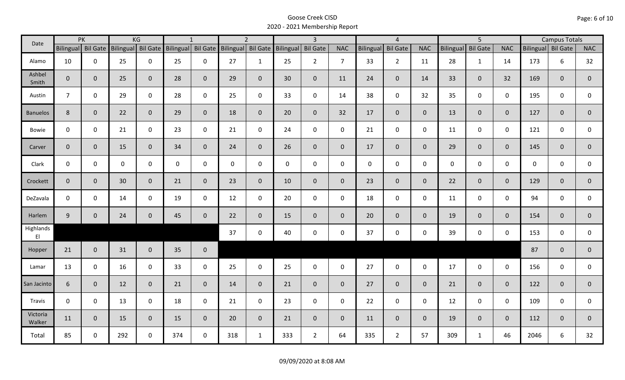| Date               |                    | PK           |             | KG             |                                       | $\mathbf{1}$ |                  | $\overline{2}$ |                    | $\overline{3}$  |                |                  | $\overline{4}$  |                |                  | $\overline{5}$  |                |                    | <b>Campus Totals</b> |                |
|--------------------|--------------------|--------------|-------------|----------------|---------------------------------------|--------------|------------------|----------------|--------------------|-----------------|----------------|------------------|-----------------|----------------|------------------|-----------------|----------------|--------------------|----------------------|----------------|
|                    | Bilingual Bil Gate |              |             |                | Bilingual Bil Gate Bilingual Bil Gate |              | <b>Bilingual</b> |                | Bil Gate Bilingual | <b>Bil Gate</b> | <b>NAC</b>     | <b>Bilingual</b> | <b>Bil Gate</b> | <b>NAC</b>     | <b>Bilingual</b> | <b>Bil Gate</b> | <b>NAC</b>     | Bilingual Bil Gate |                      | <b>NAC</b>     |
| Alamo              | 10                 | $\mathbf 0$  | 25          | $\mathbf 0$    | 25                                    | $\mathbf 0$  | 27               | $\mathbf{1}$   | 25                 | $2^{\circ}$     | $\overline{7}$ | 33               | $2^{\circ}$     | 11             | 28               | $\mathbf{1}$    | 14             | 173                | 6                    | 32             |
| Ashbel<br>Smith    | $\mathbf{0}$       | $\mathbf 0$  | 25          | $\mathbf{0}$   | 28                                    | $\mathbf 0$  | 29               | $\mathbf{0}$   | 30 <sup>°</sup>    | $\mathbf{0}$    | 11             | 24               | $\overline{0}$  | 14             | 33               | $\mathbf{0}$    | 32             | 169                | $\mathbf{0}$         | $\mathbf{0}$   |
| Austin             | $\overline{7}$     | $\mathbf 0$  | 29          | $\mathbf 0$    | 28                                    | $\mathbf 0$  | 25               | $\mathbf 0$    | 33                 | $\mathbf 0$     | 14             | 38               | $\mathbf 0$     | 32             | 35               | $\mathbf 0$     | $\mathbf 0$    | 195                | $\mathbf 0$          | $\mathbf 0$    |
| <b>Banuelos</b>    | 8                  | $\mathbf{0}$ | 22          | $\mathbf{0}$   | 29                                    | $\mathbf 0$  | 18               | $\overline{0}$ | 20                 | $\overline{0}$  | 32             | 17               | $\overline{0}$  | $\overline{0}$ | 13               | $\overline{0}$  | $\overline{0}$ | 127                | $\mathbf{0}$         | $\mathbf 0$    |
| Bowie              | $\mathbf 0$        | $\mathbf 0$  | 21          | $\mathbf 0$    | 23                                    | $\mathbf 0$  | 21               | $\mathbf 0$    | 24                 | $\mathbf 0$     | $\mathsf{O}$   | 21               | $\mathbf 0$     | $\mathsf{O}$   | 11               | $\mathbf 0$     | $\mathbf 0$    | 121                | $\mathbf 0$          | 0              |
| Carver             | $\mathbf{0}$       | $\mathbf 0$  | 15          | $\mathbf{0}$   | 34                                    | $\mathbf{0}$ | 24               | $\overline{0}$ | 26                 | $\overline{0}$  | $\overline{0}$ | 17               | $\overline{0}$  | $\overline{0}$ | 29               | $\mathbf{0}$    | $\overline{0}$ | 145                | $\mathbf{0}$         | $\mathbf 0$    |
| Clark              | $\mathbf 0$        | $\mathbf 0$  | $\mathbf 0$ | $\mathbf 0$    | $\mathbf 0$                           | $\mathbf 0$  | $\mathbf 0$      | $\mathbf 0$    | $\mathsf{O}$       | $\mathbf 0$     | $\mathbf 0$    | $\mathbf{0}$     | $\mathbf 0$     | $\mathbf 0$    | $\mathbf 0$      | $\overline{0}$  | $\mathbf 0$    | $\mathbf 0$        | $\mathbf 0$          | $\mathbf 0$    |
| Crockett           | $\mathbf{0}$       | $\mathbf{0}$ | 30          | $\mathbf{0}$   | 21                                    | $\mathbf{0}$ | 23               | $\mathbf 0$    | 10                 | $\mathbf{0}$    | $\mathbf{0}$   | 23               | $\overline{0}$  | $\overline{0}$ | 22               | $\overline{0}$  | $\overline{0}$ | 129                | $\mathbf{0}$         | $\mathbf 0$    |
| DeZavala           | $\mathbf 0$        | $\mathbf 0$  | 14          | $\mathbf 0$    | 19                                    | $\mathbf 0$  | 12               | $\mathbf 0$    | 20                 | $\mathbf 0$     | $\mathbf 0$    | 18               | $\mathbf 0$     | $\mathbf{0}$   | 11               | $\mathbf 0$     | $\mathbf 0$    | 94                 | $\mathbf 0$          | 0              |
| Harlem             | 9                  | $\mathbf 0$  | 24          | $\mathbf{0}$   | 45                                    | $\mathbf 0$  | 22               | $\overline{0}$ | 15                 | $\mathbf{0}$    | $\mathbf{0}$   | 20               | $\overline{0}$  | $\overline{0}$ | 19               | $\overline{0}$  | $\overline{0}$ | 154                | $\mathbf{0}$         | $\overline{0}$ |
| Highlands<br>E1    |                    |              |             |                |                                       |              | 37               | $\mathbf 0$    | 40                 | $\mathbf 0$     | $\mathsf{O}$   | 37               | $\mathbf 0$     | $\mathsf{O}$   | 39               | $\mathbf 0$     | $\mathbf 0$    | 153                | $\mathbf 0$          | $\mathbf{0}$   |
| Hopper             | 21                 | $\mathbf{0}$ | 31          | $\overline{0}$ | 35                                    | $\mathbf 0$  |                  |                |                    |                 |                |                  |                 |                |                  |                 |                | 87                 | $\mathbf{0}$         | $\overline{0}$ |
| Lamar              | 13                 | $\mathbf 0$  | 16          | $\mathbf 0$    | 33                                    | $\mathbf 0$  | 25               | $\mathbf 0$    | 25                 | $\mathbf 0$     | $\mathbf 0$    | 27               | $\mathbf 0$     | $\mathbf 0$    | 17               | $\mathbf 0$     | $\mathbf 0$    | 156                | $\mathbf 0$          | 0              |
| San Jacinto        | 6                  | $\mathbf 0$  | 12          | $\mathbf{0}$   | 21                                    | $\mathbf 0$  | 14               | $\overline{0}$ | 21                 | $\overline{0}$  | $\overline{0}$ | 27               | $\overline{0}$  | $\overline{0}$ | 21               | $\overline{0}$  | $\mathbf{0}$   | 122                | $\mathbf{0}$         | $\overline{0}$ |
| Travis             | $\mathbf 0$        | $\mathbf 0$  | 13          | $\mathbf 0$    | 18                                    | $\mathbf 0$  | 21               | $\mathbf 0$    | 23                 | $\mathbf 0$     | $\mathsf{O}$   | 22               | $\mathbf 0$     | $\mathsf{O}$   | 12               | $\mathbf 0$     | $\mathbf 0$    | 109                | $\mathbf 0$          | 0              |
| Victoria<br>Walker | 11                 | $\mathbf{0}$ | 15          | $\mathbf{0}$   | 15                                    | $\mathbf 0$  | 20               | $\overline{0}$ | 21                 | $\overline{0}$  | $\mathbf{0}$   | 11               | $\overline{0}$  | $\overline{0}$ | 19               | $\overline{0}$  | $\overline{0}$ | 112                | $\mathbf{0}$         | $\mathbf{0}$   |
| Total              | 85                 | 0            | 292         | $\mathbf 0$    | 374                                   | $\mathbf 0$  | 318              | $\mathbf{1}$   | 333                | $2^{\circ}$     | 64             | 335              | $\overline{2}$  | 57             | 309              | $\mathbf{1}$    | 46             | 2046               | 6                    | 32             |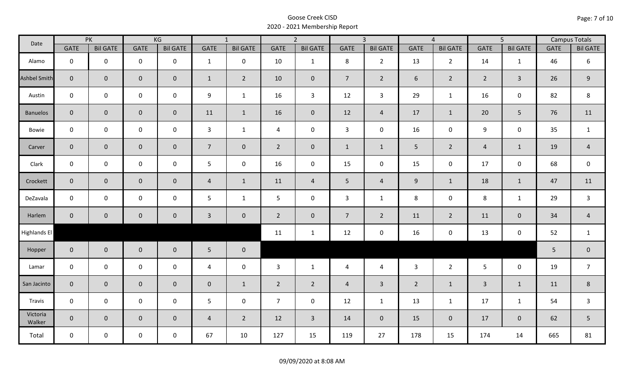| Date                |                | PK              |                     | KG              |                 | $\overline{1}$  |                | $\overline{2}$  |                | $\overline{3}$  |                 | $\overline{4}$  |                | $\overline{5}$      |             | <b>Campus Totals</b> |
|---------------------|----------------|-----------------|---------------------|-----------------|-----------------|-----------------|----------------|-----------------|----------------|-----------------|-----------------|-----------------|----------------|---------------------|-------------|----------------------|
|                     | <b>GATE</b>    | <b>Bil GATE</b> | <b>GATE</b>         | <b>Bil GATE</b> | <b>GATE</b>     | <b>Bil GATE</b> | <b>GATE</b>    | <b>Bil GATE</b> | <b>GATE</b>    | <b>Bil GATE</b> | <b>GATE</b>     | <b>Bil GATE</b> | <b>GATE</b>    | <b>Bil GATE</b>     | <b>GATE</b> | <b>Bil GATE</b>      |
| Alamo               | $\mathbf 0$    | $\mathbf 0$     | $\mathbf 0$         | $\mathbf 0$     | $\mathbf{1}$    | $\mathbf 0$     | 10             | $\mathbf{1}$    | 8              | $2^{\circ}$     | 13              | $\overline{2}$  | 14             | $\mathbf{1}$        | 46          | 6                    |
| <b>Ashbel Smith</b> | $\mathbf{0}$   | $\overline{0}$  | $\mathbf 0$         | $\mathbf{0}$    | $\mathbf{1}$    | $\overline{2}$  | 10             | $\mathbf{0}$    | 7 <sup>1</sup> | $\overline{2}$  | 6               | $\overline{2}$  | $\overline{2}$ | $\mathbf{3}$        | 26          | $9\,$                |
| Austin              | $\mathbf 0$    | $\mathbf 0$     | $\mathsf{O}\xspace$ | $\mathbf 0$     | 9               | $\mathbf{1}$    | 16             | $\mathbf{3}$    | 12             | $\mathbf{3}$    | 29              | $\mathbf{1}$    | 16             | $\mathbf 0$         | 82          | 8                    |
| <b>Banuelos</b>     | $\overline{0}$ | $\mathbf 0$     | $\pmb{0}$           | $\overline{0}$  | 11              | $\mathbf{1}$    | 16             | $\mathbf{0}$    | 12             | $\overline{4}$  | 17              | $\mathbf{1}$    | 20             | 5                   | 76          | 11                   |
| Bowie               | $\mathbf 0$    | $\mathbf 0$     | $\mathsf{O}\xspace$ | $\mathbf 0$     | $\mathbf{3}$    | $\mathbf{1}$    | $\overline{4}$ | $\mathbf 0$     | $\mathbf{3}$   | $\mathbf 0$     | 16              | 0               | $\overline{9}$ | $\mathbf 0$         | 35          | $\mathbf{1}$         |
| Carver              | $\overline{0}$ | $\mathbf 0$     | $\pmb{0}$           | $\mathbf{0}$    | $\overline{7}$  | $\overline{0}$  | $2^{\circ}$    | $\pmb{0}$       | $\mathbf{1}$   | $\mathbf{1}$    | $5\phantom{.0}$ | $\overline{2}$  | $\overline{a}$ | $\mathbf{1}$        | 19          | $\overline{4}$       |
| Clark               | $\mathbf 0$    | $\mathbf 0$     | $\mathbf 0$         | 0               | 5               | $\mathbf 0$     | 16             | $\mathbf 0$     | 15             | $\mathbf 0$     | 15              | $\mathsf{O}$    | 17             | $\mathbf 0$         | 68          | $\mathsf 0$          |
| Crockett            | $\overline{0}$ | $\mathbf 0$     | $\mathbf 0$         | $\mathbf{0}$    | $\overline{4}$  | $\mathbf{1}$    | 11             | $\overline{4}$  | 5              | $\overline{4}$  | 9               | $\mathbf{1}$    | 18             | $\mathbf{1}$        | 47          | 11                   |
| DeZavala            | $\mathbf 0$    | $\mathbf 0$     | $\mathsf{O}\xspace$ | $\mathbf 0$     | 5               | $\mathbf{1}$    | 5              | $\mathbf 0$     | $\overline{3}$ | $\mathbf{1}$    | 8               | 0               | 8              | $\mathbf{1}$        | 29          | $\mathsf{3}$         |
| Harlem              | $\overline{0}$ | $\mathbf 0$     | $\mathbf 0$         | $\mathbf{0}$    | $\mathbf{3}$    | $\mathbf 0$     | $2^{\circ}$    | $\mathbf{0}$    | 7 <sup>7</sup> | $\overline{2}$  | 11              | $\overline{2}$  | 11             | $\mathbf 0$         | 34          | $\overline{4}$       |
| Highlands El        |                |                 |                     |                 |                 |                 | 11             | $\mathbf{1}$    | 12             | $\mathbf 0$     | 16              | 0               | 13             | $\mathsf{O}\xspace$ | 52          | $\mathbf{1}$         |
| Hopper              | $\overline{0}$ | $\overline{0}$  | $\mathbf 0$         | $\overline{0}$  | $5\phantom{.0}$ | $\overline{0}$  |                |                 |                |                 |                 |                 |                |                     | 5           | $\pmb{0}$            |
| Lamar               | $\mathbf 0$    | $\mathbf 0$     | $\mathsf{O}\xspace$ | $\mathbf 0$     | $\overline{4}$  | $\mathbf 0$     | $\mathbf{3}$   | $\mathbf{1}$    | $\overline{4}$ | $\overline{4}$  | $\overline{3}$  | $2^{\circ}$     | 5 <sup>5</sup> | $\mathbf 0$         | 19          | $\overline{7}$       |
| San Jacinto         | $\overline{0}$ | $\mathbf{0}$    | $\mathbf 0$         | $\mathbf{0}$    | $\mathbf 0$     | $\mathbf{1}$    | $2^{\circ}$    | $2^{\circ}$     | $\overline{4}$ | $\overline{3}$  | $\overline{2}$  | $\mathbf{1}$    | $\overline{3}$ | $\mathbf{1}$        | 11          | 8                    |
| Travis              | $\mathbf 0$    | $\mathbf 0$     | $\mathbf 0$         | $\mathbf 0$     | 5               | $\mathbf 0$     | $\overline{7}$ | $\mathbf 0$     | 12             | $\mathbf{1}$    | 13              | $\mathbf{1}$    | 17             | $\mathbf{1}$        | 54          | $\overline{3}$       |
| Victoria<br>Walker  | $\overline{0}$ | $\mathbf 0$     | $\mathbf 0$         | $\mathbf 0$     | $\overline{4}$  | $\overline{2}$  | 12             | $\overline{3}$  | 14             | $\overline{0}$  | 15              | $\mathbf 0$     | 17             | $\mathbf 0$         | 62          | 5                    |
| Total               | $\mathbf 0$    | $\mathbf 0$     | $\mathbf 0$         | $\mathbf 0$     | 67              | 10              | 127            | 15              | 119            | 27              | 178             | 15              | 174            | 14                  | 665         | 81                   |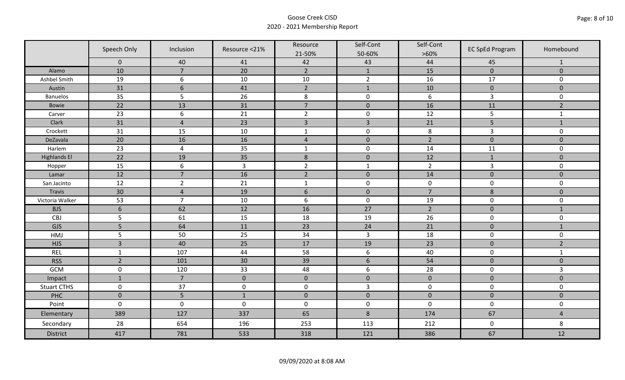|                     | Speech Only      | Inclusion        | Resource <21%  | Resource         | Self-Cont        | Self-Cont        | <b>EC SpEd Program</b> | Homebound           |
|---------------------|------------------|------------------|----------------|------------------|------------------|------------------|------------------------|---------------------|
|                     |                  |                  |                | 21-50%           | 50-60%           | $>60\%$          |                        |                     |
|                     | $\mathbf 0$      | 40               | 41             | 42               | 43               | 44               | 45                     | 1                   |
| Alamo               | 10               | $\overline{7}$   | 20             | $\overline{2}$   | $\mathbf{1}$     | 15               | $\pmb{0}$              | $\mathbf 0$         |
| Ashbel Smith        | 19               | 6                | 10             | 10               | $\overline{2}$   | 16               | 17                     | 0                   |
| Austin              | 31               | $\boldsymbol{6}$ | 41             | $\overline{2}$   | $\mathbf 1$      | 10               | $\pmb{0}$              | $\mathbf 0$         |
| <b>Banuelos</b>     | 35               | 5                | 26             | $\,8\,$          | $\pmb{0}$        | $\boldsymbol{6}$ | $\mathsf{3}$           | $\mathbf 0$         |
| Bowie               | 22               | 13               | 31             | $\overline{7}$   | $\pmb{0}$        | 16               | 11                     | $\overline{2}$      |
| Carver              | 23               | 6                | 21             | $\overline{2}$   | $\pmb{0}$        | 12               | 5                      | $\mathbf{1}$        |
| Clark               | 31               | $\overline{4}$   | 23             | $\overline{3}$   | $\overline{3}$   | 21               | 5                      | $\mathbf{1}$        |
| Crockett            | 31               | 15               | 10             | $\mathbf 1$      | $\pmb{0}$        | $\,8\,$          | $\mathsf{3}$           | $\mathbf 0$         |
| DeZavala            | $\overline{20}$  | 16               | 16             | $\overline{4}$   | $\pmb{0}$        | $\overline{2}$   | $\pmb{0}$              | $\mathbf 0$         |
| Harlem              | 23               | $\overline{4}$   | 35             | $\mathbf 1$      | $\pmb{0}$        | 14               | 11                     | $\mathbf 0$         |
| <b>Highlands El</b> | 22               | 19               | 35             | $\,8\,$          | $\pmb{0}$        | 12               | $\mathbf{1}$           | $\mathbf 0$         |
| Hopper              | 15               | 6                | $\overline{3}$ | $\overline{2}$   | $\mathbf{1}$     | $\overline{2}$   | $\mathsf{3}$           | 0                   |
| Lamar               | 12               | $\overline{7}$   | 16             | $\overline{2}$   | $\mathbf 0$      | 14               | $\mathbf 0$            | $\mathbf 0$         |
| San Jacinto         | 12               | $\overline{2}$   | 21             | $\mathbf{1}$     | $\pmb{0}$        | $\mathbf 0$      | $\pmb{0}$              | $\mathsf{O}\xspace$ |
| Travis              | 30               | $\overline{4}$   | 19             | $\boldsymbol{6}$ | $\pmb{0}$        | $\overline{7}$   | $\bf 8$                | $\mathbf 0$         |
| Victoria Walker     | 53               | $\overline{7}$   | 10             | $\boldsymbol{6}$ | $\pmb{0}$        | 19               | $\pmb{0}$              | 0                   |
| <b>BJS</b>          | $\boldsymbol{6}$ | 62               | 12             | 16               | 27               | $\overline{2}$   | $\pmb{0}$              | $\mathbf{1}$        |
| CBJ                 | 5                | 61               | 15             | 18               | 19               | 26               | $\pmb{0}$              | 0                   |
| GJS                 | 5                | 64               | 11             | 23               | 24               | 21               | $\pmb{0}$              | $\mathbf{1}$        |
| HMJ                 | 5                | 50               | 25             | 34               | $\overline{3}$   | 18               | $\pmb{0}$              | 0                   |
| <b>HJS</b>          | $\overline{3}$   | 40               | 25             | 17               | 19               | 23               | $\pmb{0}$              | $\overline{2}$      |
| REL                 | $\mathbf 1$      | 107              | 44             | 58               | $\boldsymbol{6}$ | 40               | $\pmb{0}$              | $\mathbf{1}$        |
| <b>RSS</b>          | $\overline{2}$   | 101              | 30             | 39               | $\sqrt{6}$       | 54               | $\pmb{0}$              | $\mathbf 0$         |
| GCM                 | $\mathsf 0$      | 120              | 33             | 48               | $\boldsymbol{6}$ | 28               | $\pmb{0}$              | 3                   |
| Impact              | $\mathbf{1}$     | $\overline{7}$   | $\mathbf{0}$   | $\mathbf 0$      | $\pmb{0}$        | $\pmb{0}$        | $\mathbf 0$            | $\overline{0}$      |
| <b>Stuart CTHS</b>  | $\pmb{0}$        | 37               | $\pmb{0}$      | $\pmb{0}$        | $\mathsf{3}$     | $\pmb{0}$        | $\pmb{0}$              | 0                   |
| PHC                 | $\mathbf 0$      | 5                | $1\,$          | $\pmb{0}$        | $\pmb{0}$        | $\pmb{0}$        | $\pmb{0}$              | $\pmb{0}$           |
| Point               | $\mathbf 0$      | $\pmb{0}$        | $\pmb{0}$      | $\pmb{0}$        | $\pmb{0}$        | $\mathbf 0$      | $\pmb{0}$              | 0                   |
| Elementary          | 389              | 127              | 337            | 65               | $\,8\,$          | 174              | 67                     | $\overline{4}$      |
| Secondary           | 28               | 654              | 196            | 253              | 113              | 212              | $\mathsf 0$            | 8                   |
| District            | 417              | 781              | 533            | 318              | 121              | 386              | 67                     | 12                  |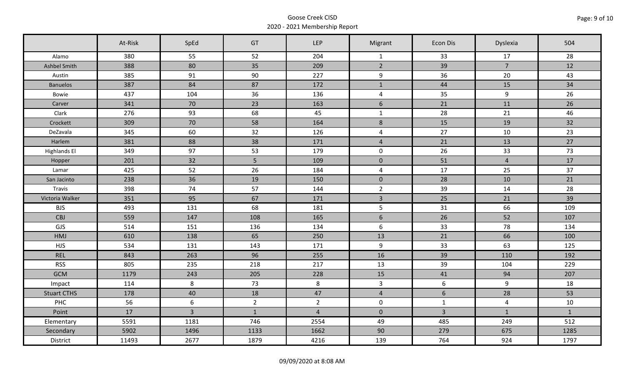|                     | At-Risk | SpEd           | GT             | <b>LEP</b>     | Migrant             | <b>Econ Dis</b> | Dyslexia       | 504          |
|---------------------|---------|----------------|----------------|----------------|---------------------|-----------------|----------------|--------------|
| Alamo               | 380     | 55             | 52             | 204            | $\mathbf{1}$        | 33              | 17             | 28           |
| Ashbel Smith        | 388     | 80             | 35             | 209            | $2^{\circ}$         | 39              | $\overline{7}$ | 12           |
| Austin              | 385     | 91             | 90             | 227            | 9                   | 36              | 20             | 43           |
| <b>Banuelos</b>     | 387     | 84             | 87             | 172            | $\mathbf{1}$        | 44              | 15             | 34           |
| Bowie               | 437     | 104            | 36             | 136            | $\overline{4}$      | 35              | 9              | 26           |
| Carver              | 341     | 70             | 23             | 163            | $6\,$               | 21              | 11             | 26           |
| Clark               | 276     | 93             | 68             | 45             | $\mathbf{1}$        | 28              | 21             | 46           |
| Crockett            | 309     | 70             | 58             | 164            | $\,8\,$             | 15              | 19             | 32           |
| DeZavala            | 345     | 60             | 32             | 126            | $\overline{4}$      | 27              | 10             | 23           |
| Harlem              | 381     | 88             | 38             | 171            | $\overline{4}$      | 21              | 13             | 27           |
| <b>Highlands El</b> | 349     | 97             | 53             | 179            | $\mathbf 0$         | 26              | 33             | 73           |
| Hopper              | 201     | 32             | 5              | 109            | $\mathsf{O}\xspace$ | 51              | $\overline{4}$ | 17           |
| Lamar               | 425     | 52             | 26             | 184            | $\overline{4}$      | 17              | 25             | 37           |
| San Jacinto         | 238     | 36             | 19             | 150            | $\mathbf{0}$        | 28              | 10             | 21           |
| Travis              | 398     | 74             | 57             | 144            | $2^{\circ}$         | 39              | 14             | 28           |
| Victoria Walker     | 351     | 95             | 67             | 171            | $\overline{3}$      | 25              | 21             | 39           |
| <b>BJS</b>          | 493     | 131            | 68             | 181            | 5                   | 31              | 66             | 109          |
| <b>CBJ</b>          | 559     | 147            | 108            | 165            | 6                   | 26              | 52             | 107          |
| GJS                 | 514     | 151            | 136            | 134            | $6\,$               | 33              | 78             | 134          |
| HMJ                 | 610     | 138            | 65             | 250            | 13                  | 21              | 66             | 100          |
| <b>HJS</b>          | 534     | 131            | 143            | 171            | 9                   | 33              | 63             | 125          |
| <b>REL</b>          | 843     | 263            | 96             | 255            | 16                  | 39              | 110            | 192          |
| <b>RSS</b>          | 805     | 235            | 218            | 217            | 13                  | 39              | 104            | 229          |
| <b>GCM</b>          | 1179    | 243            | 205            | 228            | 15                  | 41              | 94             | 207          |
| Impact              | 114     | 8              | 73             | 8              | $\overline{3}$      | 6               | 9              | 18           |
| <b>Stuart CTHS</b>  | 178     | 40             | 18             | 47             | $\overline{4}$      | $6\phantom{.}$  | 28             | 53           |
| <b>PHC</b>          | 56      | 6              | $\overline{2}$ | $\overline{2}$ | $\mathbf 0$         | $\mathbf{1}$    | $\overline{4}$ | $10\,$       |
| Point               | 17      | $\overline{3}$ | $\mathbf{1}$   | $\overline{4}$ | $\overline{0}$      | $\overline{3}$  | $\mathbf{1}$   | $\mathbf{1}$ |
| Elementary          | 5591    | 1181           | 746            | 2554           | 49                  | 485             | 249            | 512          |
| Secondary           | 5902    | 1496           | 1133           | 1662           | 90                  | 279             | 675            | 1285         |
| District            | 11493   | 2677           | 1879           | 4216           | 139                 | 764             | 924            | 1797         |